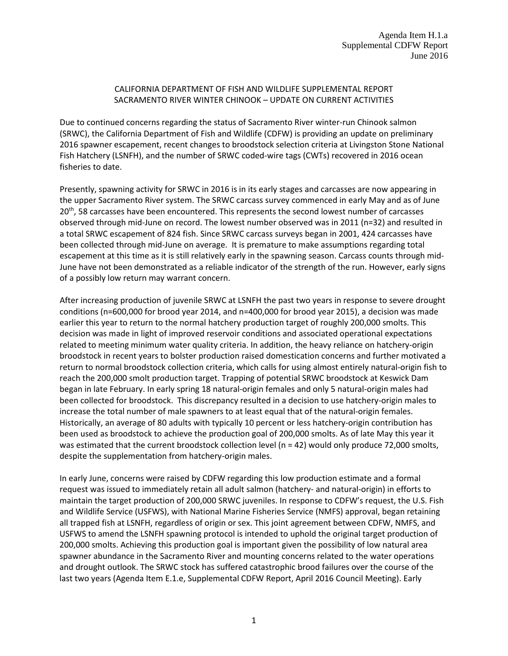## CALIFORNIA DEPARTMENT OF FISH AND WILDLIFE SUPPLEMENTAL REPORT SACRAMENTO RIVER WINTER CHINOOK – UPDATE ON CURRENT ACTIVITIES

Due to continued concerns regarding the status of Sacramento River winter-run Chinook salmon (SRWC), the California Department of Fish and Wildlife (CDFW) is providing an update on preliminary 2016 spawner escapement, recent changes to broodstock selection criteria at Livingston Stone National Fish Hatchery (LSNFH), and the number of SRWC coded-wire tags (CWTs) recovered in 2016 ocean fisheries to date.

Presently, spawning activity for SRWC in 2016 is in its early stages and carcasses are now appearing in the upper Sacramento River system. The SRWC carcass survey commenced in early May and as of June 20<sup>th</sup>, 58 carcasses have been encountered. This represents the second lowest number of carcasses observed through mid-June on record. The lowest number observed was in 2011 (n=32) and resulted in a total SRWC escapement of 824 fish. Since SRWC carcass surveys began in 2001, 424 carcasses have been collected through mid-June on average. It is premature to make assumptions regarding total escapement at this time as it is still relatively early in the spawning season. Carcass counts through mid-June have not been demonstrated as a reliable indicator of the strength of the run. However, early signs of a possibly low return may warrant concern.

After increasing production of juvenile SRWC at LSNFH the past two years in response to severe drought conditions (n=600,000 for brood year 2014, and n=400,000 for brood year 2015), a decision was made earlier this year to return to the normal hatchery production target of roughly 200,000 smolts. This decision was made in light of improved reservoir conditions and associated operational expectations related to meeting minimum water quality criteria. In addition, the heavy reliance on hatchery-origin broodstock in recent years to bolster production raised domestication concerns and further motivated a return to normal broodstock collection criteria, which calls for using almost entirely natural-origin fish to reach the 200,000 smolt production target. Trapping of potential SRWC broodstock at Keswick Dam began in late February. In early spring 18 natural-origin females and only 5 natural-origin males had been collected for broodstock. This discrepancy resulted in a decision to use hatchery-origin males to increase the total number of male spawners to at least equal that of the natural-origin females. Historically, an average of 80 adults with typically 10 percent or less hatchery-origin contribution has been used as broodstock to achieve the production goal of 200,000 smolts. As of late May this year it was estimated that the current broodstock collection level (n = 42) would only produce 72,000 smolts, despite the supplementation from hatchery-origin males.

In early June, concerns were raised by CDFW regarding this low production estimate and a formal request was issued to immediately retain all adult salmon (hatchery- and natural-origin) in efforts to maintain the target production of 200,000 SRWC juveniles. In response to CDFW's request, the U.S. Fish and Wildlife Service (USFWS), with National Marine Fisheries Service (NMFS) approval, began retaining all trapped fish at LSNFH, regardless of origin or sex. This joint agreement between CDFW, NMFS, and USFWS to amend the LSNFH spawning protocol is intended to uphold the original target production of 200,000 smolts. Achieving this production goal is important given the possibility of low natural area spawner abundance in the Sacramento River and mounting concerns related to the water operations and drought outlook. The SRWC stock has suffered catastrophic brood failures over the course of the last two years (Agenda Item E.1.e, Supplemental CDFW Report, April 2016 Council Meeting). Early